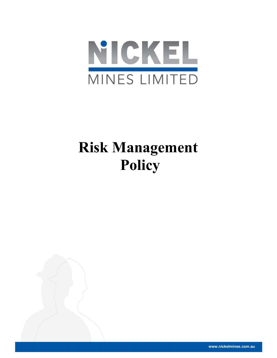

# Risk Management Policy

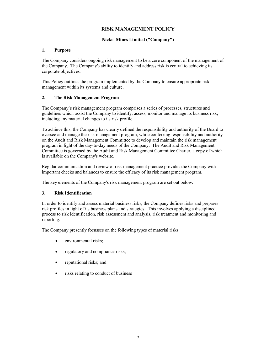# RISK MANAGEMENT POLICY

## Nickel Mines Limited ("Company")

#### 1. Purpose

The Company considers ongoing risk management to be a core component of the management of the Company. The Company's ability to identify and address risk is central to achieving its corporate objectives.

This Policy outlines the program implemented by the Company to ensure appropriate risk management within its systems and culture.

#### 2. The Risk Management Program

The Company's risk management program comprises a series of processes, structures and guidelines which assist the Company to identify, assess, monitor and manage its business risk, including any material changes to its risk profile.

To achieve this, the Company has clearly defined the responsibility and authority of the Board to oversee and manage the risk management program, while conferring responsibility and authority on the Audit and Risk Management Committee to develop and maintain the risk management program in light of the day-to-day needs of the Company. The Audit and Risk Management Committee is governed by the Audit and Risk Management Committee Charter, a copy of which is available on the Company's website.

Regular communication and review of risk management practice provides the Company with important checks and balances to ensure the efficacy of its risk management program.

The key elements of the Company's risk management program are set out below.

## 3. Risk Identification

In order to identify and assess material business risks, the Company defines risks and prepares risk profiles in light of its business plans and strategies. This involves applying a disciplined process to risk identification, risk assessment and analysis, risk treatment and monitoring and reporting.

The Company presently focusses on the following types of material risks:

- environmental risks;
- regulatory and compliance risks;
- reputational risks; and
- risks relating to conduct of business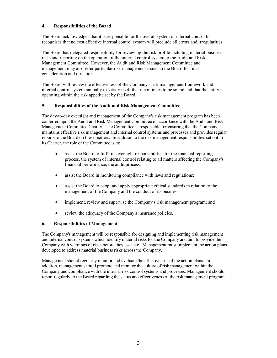## 4. Responsibilities of the Board

The Board acknowledges that it is responsible for the overall system of internal control but recognises that no cost effective internal control system will preclude all errors and irregularities.

The Board has delegated responsibility for reviewing the risk profile including material business risks and reporting on the operation of the internal control system to the Audit and Risk Management Committee. However, the Audit and Risk Management Committee and management may also refer particular risk management issues to the Board for final consideration and direction.

The Board will review the effectiveness of the Company's risk management framework and internal control system annually to satisfy itself that it continues to be sound and that the entity is operating within the risk appetite set by the Board.

#### 5. Responsibilities of the Audit and Risk Management Committee

The day-to-day oversight and management of the Company's risk management program has been conferred upon the Audit and Risk Management Committee in accordance with the Audit and Risk Management Committee Charter. The Committee is responsible for ensuring that the Company maintains effective risk management and internal control systems and processes and provides regular reports to the Board on these matters. In addition to the risk management responsibilities set out in its Charter, the role of the Committee is to:

- assist the Board to fulfil its oversight responsibilities for the financial reporting process, the system of internal control relating to all matters affecting the Company's financial performance, the audit process;
- assist the Board in monitoring compliance with laws and regulations;
- assist the Board to adopt and apply appropriate ethical standards in relation to the management of the Company and the conduct of its business;
- implement, review and supervise the Company's risk management program; and
- review the adequacy of the Company's insurance policies.

## 6. Responsibilities of Management

The Company's management will be responsible for designing and implementing risk management and internal control systems which identify material risks for the Company and aim to provide the Company with warnings of risks before they escalate. Management must implement the action plans developed to address material business risks across the Company.

Management should regularly monitor and evaluate the effectiveness of the action plans. In addition, management should promote and monitor the culture of risk management within the Company and compliance with the internal risk control systems and processes. Management should report regularly to the Board regarding the status and effectiveness of the risk management program.